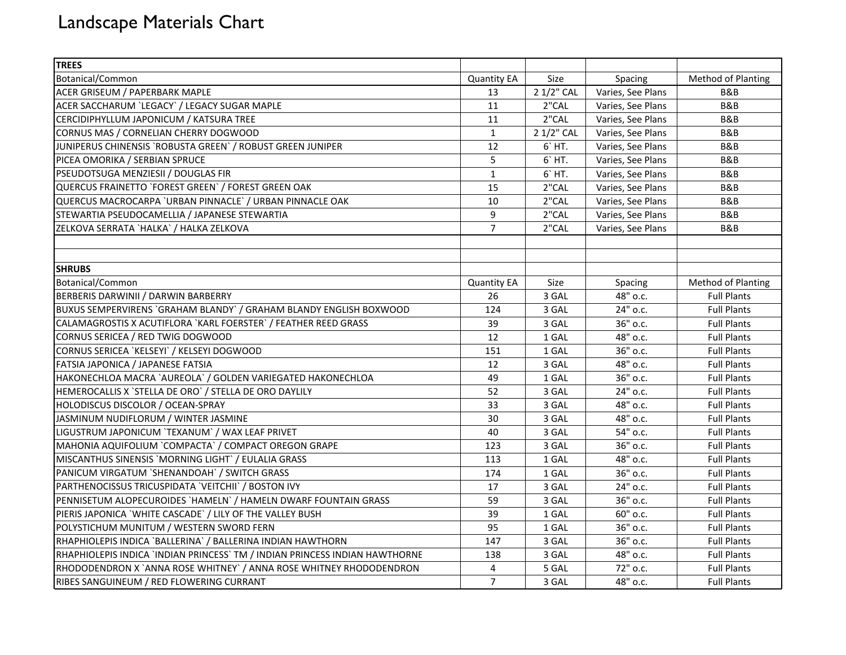## Landscape Materials Chart

| <b>TREES</b>                                                                |                    |            |                   |                    |
|-----------------------------------------------------------------------------|--------------------|------------|-------------------|--------------------|
| Botanical/Common                                                            | <b>Quantity EA</b> | Size       | Spacing           | Method of Planting |
| ACER GRISEUM / PAPERBARK MAPLE                                              | 13                 | 2 1/2" CAL | Varies, See Plans | B&B                |
| ACER SACCHARUM `LEGACY` / LEGACY SUGAR MAPLE                                | 11                 | 2"CAL      | Varies, See Plans | B&B                |
| CERCIDIPHYLLUM JAPONICUM / KATSURA TREE                                     | 11                 | 2"CAL      | Varies, See Plans | B&B                |
| CORNUS MAS / CORNELIAN CHERRY DOGWOOD                                       | $\mathbf{1}$       | 2 1/2" CAL | Varies, See Plans | B&B                |
| JUNIPERUS CHINENSIS `ROBUSTA GREEN` / ROBUST GREEN JUNIPER                  | 12                 | 6' HT.     | Varies, See Plans | B&B                |
| PICEA OMORIKA / SERBIAN SPRUCE                                              | 5                  | 6'HT.      | Varies, See Plans | B&B                |
| PSEUDOTSUGA MENZIESII / DOUGLAS FIR                                         | $\mathbf{1}$       | 6' HT.     | Varies, See Plans | B&B                |
| QUERCUS FRAINETTO `FOREST GREEN` / FOREST GREEN OAK                         | 15                 | 2"CAL      | Varies, See Plans | B&B                |
| QUERCUS MACROCARPA 'URBAN PINNACLE' / URBAN PINNACLE OAK                    | 10                 | 2"CAL      | Varies, See Plans | B&B                |
| STEWARTIA PSEUDOCAMELLIA / JAPANESE STEWARTIA                               | 9                  | 2"CAL      | Varies, See Plans | B&B                |
| ZELKOVA SERRATA `HALKA` / HALKA ZELKOVA                                     | $\overline{7}$     | 2"CAL      | Varies, See Plans | B&B                |
|                                                                             |                    |            |                   |                    |
|                                                                             |                    |            |                   |                    |
| <b>SHRUBS</b>                                                               |                    |            |                   |                    |
| Botanical/Common                                                            | <b>Quantity EA</b> | Size       | Spacing           | Method of Planting |
| BERBERIS DARWINII / DARWIN BARBERRY                                         | 26                 | 3 GAL      | 48" o.c.          | <b>Full Plants</b> |
| BUXUS SEMPERVIRENS `GRAHAM BLANDY` / GRAHAM BLANDY ENGLISH BOXWOOD          | 124                | 3 GAL      | 24" o.c.          | <b>Full Plants</b> |
| CALAMAGROSTIS X ACUTIFLORA `KARL FOERSTER` / FEATHER REED GRASS             | 39                 | 3 GAL      | 36" o.c.          | <b>Full Plants</b> |
| CORNUS SERICEA / RED TWIG DOGWOOD                                           | 12                 | 1 GAL      | 48" o.c.          | <b>Full Plants</b> |
| CORNUS SERICEA `KELSEYI` / KELSEYI DOGWOOD                                  | 151                | 1 GAL      | 36" o.c.          | <b>Full Plants</b> |
| FATSIA JAPONICA / JAPANESE FATSIA                                           | 12                 | 3 GAL      | 48" o.c.          | <b>Full Plants</b> |
| HAKONECHLOA MACRA `AUREOLA` / GOLDEN VARIEGATED HAKONECHLOA                 | 49                 | 1 GAL      | 36" о.с.          | <b>Full Plants</b> |
| HEMEROCALLIS X `STELLA DE ORO` / STELLA DE ORO DAYLILY                      | 52                 | 3 GAL      | 24" o.c.          | <b>Full Plants</b> |
| HOLODISCUS DISCOLOR / OCEAN-SPRAY                                           | 33                 | 3 GAL      | 48" o.c.          | <b>Full Plants</b> |
| JASMINUM NUDIFLORUM / WINTER JASMINE                                        | 30                 | 3 GAL      | 48" o.c.          | <b>Full Plants</b> |
| LIGUSTRUM JAPONICUM `TEXANUM` / WAX LEAF PRIVET                             | 40                 | 3 GAL      | 54" o.c.          | <b>Full Plants</b> |
| MAHONIA AQUIFOLIUM `COMPACTA` / COMPACT OREGON GRAPE                        | 123                | 3 GAL      | 36" o.c.          | <b>Full Plants</b> |
| MISCANTHUS SINENSIS `MORNING LIGHT` / EULALIA GRASS                         | 113                | 1 GAL      | 48" o.c.          | <b>Full Plants</b> |
| PANICUM VIRGATUM `SHENANDOAH` / SWITCH GRASS                                | 174                | 1 GAL      | 36" o.c.          | <b>Full Plants</b> |
| PARTHENOCISSUS TRICUSPIDATA 'VEITCHII' / BOSTON IVY                         | 17                 | 3 GAL      | 24" o.c.          | <b>Full Plants</b> |
| PENNISETUM ALOPECUROIDES `HAMELN` / HAMELN DWARF FOUNTAIN GRASS             | 59                 | 3 GAL      | 36" o.c.          | <b>Full Plants</b> |
| PIERIS JAPONICA `WHITE CASCADE` / LILY OF THE VALLEY BUSH                   | 39                 | 1 GAL      | 60" o.c.          | <b>Full Plants</b> |
| POLYSTICHUM MUNITUM / WESTERN SWORD FERN                                    | 95                 | 1 GAL      | 36" o.c.          | <b>Full Plants</b> |
| RHAPHIOLEPIS INDICA `BALLERINA` / BALLERINA INDIAN HAWTHORN                 | 147                | 3 GAL      | 36" o.c.          | <b>Full Plants</b> |
| RHAPHIOLEPIS INDICA `INDIAN PRINCESS` TM / INDIAN PRINCESS INDIAN HAWTHORNE | 138                | 3 GAL      | 48" o.c.          | <b>Full Plants</b> |
| RHODODENDRON X `ANNA ROSE WHITNEY` / ANNA ROSE WHITNEY RHODODENDRON         | 4                  | 5 GAL      | 72" o.c.          | <b>Full Plants</b> |
| RIBES SANGUINEUM / RED FLOWERING CURRANT                                    | $\overline{7}$     | 3 GAL      | 48" o.c.          | <b>Full Plants</b> |